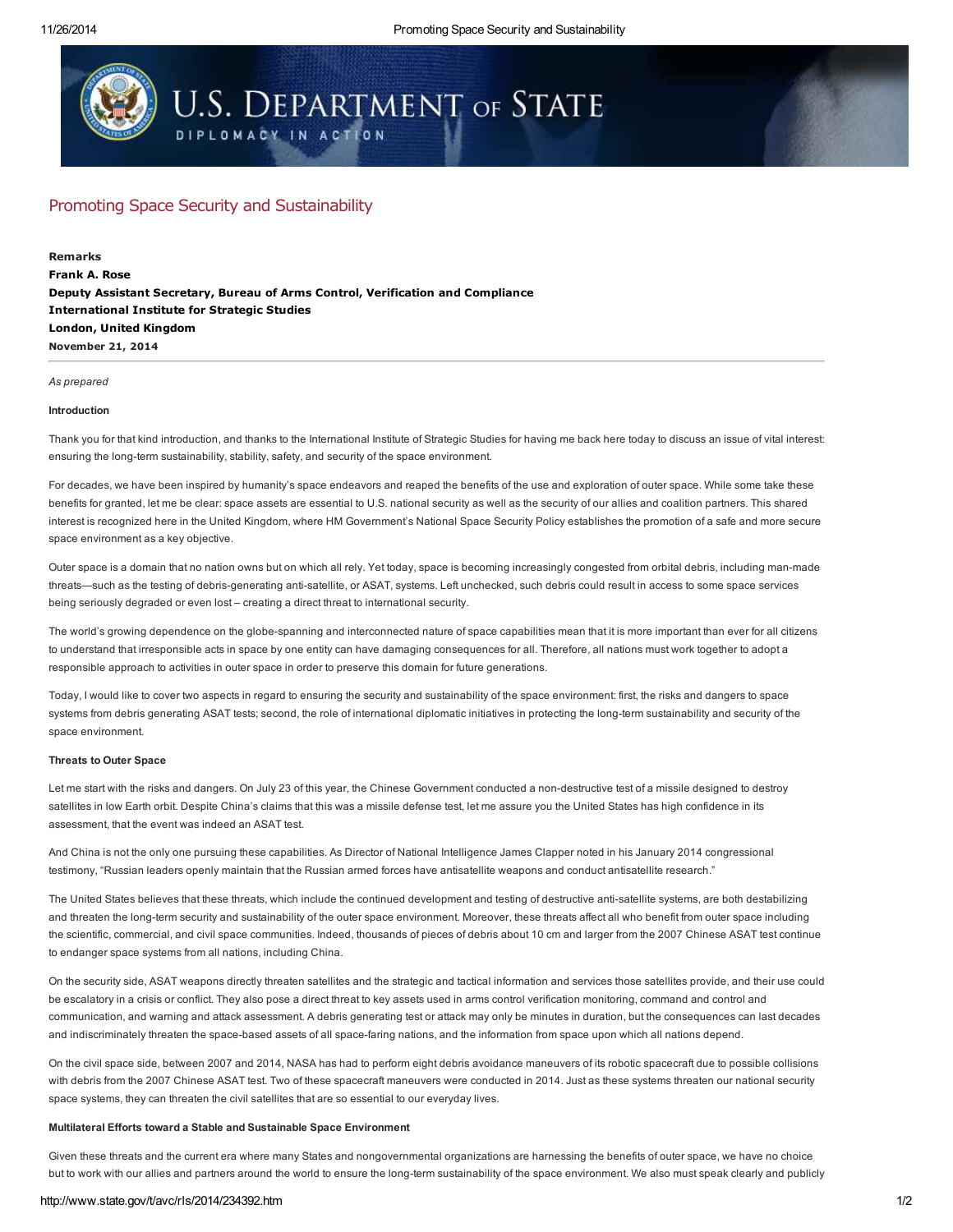# **U.S. DEPARTMENT OF STATE** DIPLOMACY IN ACTION

## Promoting Space Security and Sustainability

November 21, 2014 Remarks Frank A. Rose Deputy Assistant Secretary, Bureau of Arms Control, Verification and Compliance International Institute for Strategic Studies London, United Kingdom

#### *As prepared*

### Introduction

Thank you for that kind introduction, and thanks to the International Institute of Strategic Studies for having me back here today to discuss an issue of vital interest: ensuring the long-term sustainability, stability, safety, and security of the space environment.

For decades, we have been inspired by humanity's space endeavors and reaped the benefits of the use and exploration of outer space. While some take these benefits for granted, let me be clear: space assets are essential to U.S. national security as well as the security of our allies and coalition partners. This shared interest is recognized here in the United Kingdom, where HM Government's National Space Security Policy establishes the promotion of a safe and more secure space environment as a key objective.

Outer space is a domain that no nation owns but on which all rely. Yet today, space is becoming increasingly congested from orbital debris, including man-made threats—such as the testing of debris-generating anti-satellite, or ASAT, systems. Left unchecked, such debris could result in access to some space services being seriously degraded or even lost – creating a direct threat to international security.

The world's growing dependence on the globe-spanning and interconnected nature of space capabilities mean that it is more important than ever for all citizens to understand that irresponsible acts in space by one entity can have damaging consequences for all. Therefore, all nations must work together to adopt a responsible approach to activities in outer space in order to preserve this domain for future generations.

Today, I would like to cover two aspects in regard to ensuring the security and sustainability of the space environment: first, the risks and dangers to space systems from debris generating ASAT tests; second, the role of international diplomatic initiatives in protecting the long-term sustainability and security of the space environment.

### Threats to Outer Space

Let me start with the risks and dangers. On July 23 of this year, the Chinese Government conducted a non-destructive test of a missile designed to destroy satellites in low Earth orbit. Despite China's claims that this was a missile defense test, let me assure you the United States has high confidence in its assessment, that the event was indeed an ASAT test.

And China is not the only one pursuing these capabilities. As Director of National Intelligence James Clapper noted in his January 2014 congressional testimony, "Russian leaders openly maintain that the Russian armed forces have antisatellite weapons and conduct antisatellite research."

The United States believes that these threats, which include the continued development and testing of destructive anti-satellite systems, are both destabilizing and threaten the long-term security and sustainability of the outer space environment. Moreover, these threats affect all who benefit from outer space including the scientific, commercial, and civil space communities. Indeed, thousands of pieces of debris about 10 cm and larger from the 2007 Chinese ASAT test continue to endanger space systems from all nations, including China.

On the security side, ASAT weapons directly threaten satellites and the strategic and tactical information and services those satellites provide, and their use could be escalatory in a crisis or conflict. They also pose a direct threat to key assets used in arms control verification monitoring, command and control and communication, and warning and attack assessment. A debris generating test or attack may only be minutes in duration, but the consequences can last decades and indiscriminately threaten the space-based assets of all space-faring nations, and the information from space upon which all nations depend.

On the civil space side, between 2007 and 2014, NASA has had to perform eight debris avoidance maneuvers of its robotic spacecraft due to possible collisions with debris from the 2007 Chinese ASAT test. Two of these spacecraft maneuvers were conducted in 2014. Just as these systems threaten our national security space systems, they can threaten the civil satellites that are so essential to our everyday lives.

#### Multilateral Efforts toward a Stable and Sustainable Space Environment

Given these threats and the current era where many States and nongovernmental organizations are harnessing the benefits of outer space, we have no choice but to work with our allies and partners around the world to ensure the long-term sustainability of the space environment. We also must speak clearly and publicly